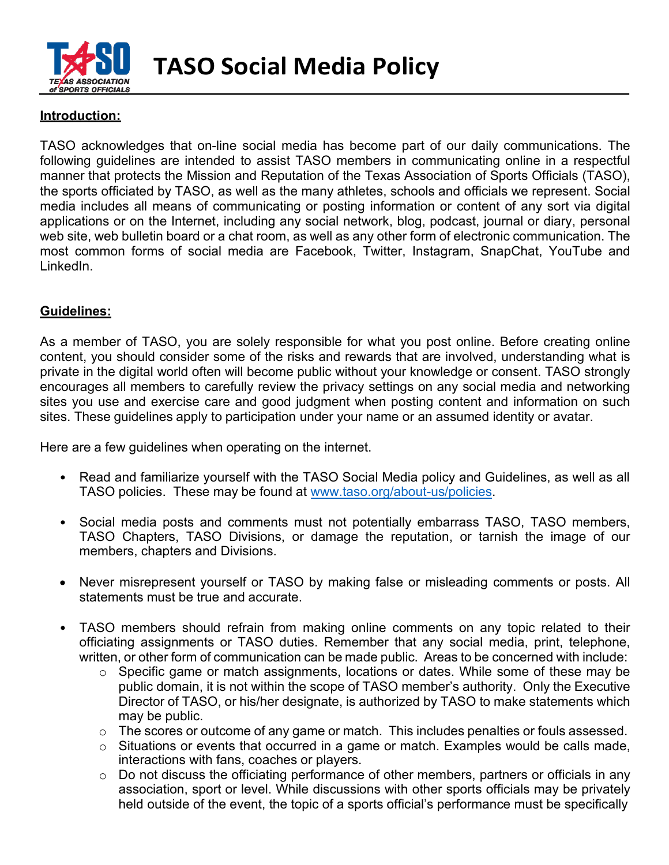

## **Introduction:**

TASO acknowledges that on-line social media has become part of our daily communications. The following guidelines are intended to assist TASO members in communicating online in a respectful manner that protects the Mission and Reputation of the Texas Association of Sports Officials (TASO), the sports officiated by TASO, as well as the many athletes, schools and officials we represent. Social media includes all means of communicating or posting information or content of any sort via digital applications or on the Internet, including any social network, blog, podcast, journal or diary, personal web site, web bulletin board or a chat room, as well as any other form of electronic communication. The most common forms of social media are Facebook, Twitter, Instagram, SnapChat, YouTube and LinkedIn.

## **Guidelines:**

As a member of TASO, you are solely responsible for what you post online. Before creating online content, you should consider some of the risks and rewards that are involved, understanding what is private in the digital world often will become public without your knowledge or consent. TASO strongly encourages all members to carefully review the privacy settings on any social media and networking sites you use and exercise care and good judgment when posting content and information on such sites. These guidelines apply to participation under your name or an assumed identity or avatar.

Here are a few guidelines when operating on the internet.

- Read and familiarize yourself with the TASO Social Media policy and Guidelines, as well as all TASO policies. These may be found at [www.taso.org/about-us/policies.](http://www.taso.org/about-us/policies)
- Social media posts and comments must not potentially embarrass TASO, TASO members, TASO Chapters, TASO Divisions, or damage the reputation, or tarnish the image of our members, chapters and Divisions.
- Never misrepresent yourself or TASO by making false or misleading comments or posts. All statements must be true and accurate.
- TASO members should refrain from making online comments on any topic related to their officiating assignments or TASO duties. Remember that any social media, print, telephone, written, or other form of communication can be made public. Areas to be concerned with include:
	- o Specific game or match assignments, locations or dates. While some of these may be public domain, it is not within the scope of TASO member's authority. Only the Executive Director of TASO, or his/her designate, is authorized by TASO to make statements which may be public.
	- o The scores or outcome of any game or match. This includes penalties or fouls assessed.
	- o Situations or events that occurred in a game or match. Examples would be calls made, interactions with fans, coaches or players.
	- o Do not discuss the officiating performance of other members, partners or officials in any association, sport or level. While discussions with other sports officials may be privately held outside of the event, the topic of a sports official's performance must be specifically